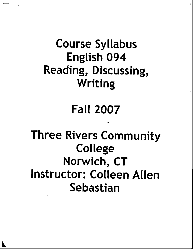# Course Syllabus English 094 Reading, Discussing, Writing

## Fall 2007

I

Three Rivers Community College Norwich, CT Instructor: Colleen Allen Sebastian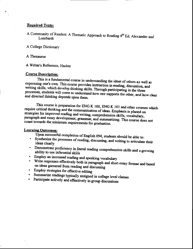#### **Required Texts:**

A Community of Readers: A Thematic Approach to Reading 4th Ed, Alexander and Lombardi

A College Dictionary

A Thesaurus

A Writer's Reference, Hacker

#### **Course Description:**

This is a fundamental course in understanding the ideas of others as well as expressing one's own. This course provides instruction in reading, discussion, and writing skills, which develop thinking skills. Through participating in the three processes, students will come to understand how one supports the other, and how clear and directed thinking depends upon them.

This course is preparation for ENG K 100, ENG K 101 and other courses which require critical thinking and the communication of ideas. Emphasis is placed on strategies for improved reading and writing, comprehension skills, vocabulary, paragraph and essay development, grammar, and summarizing. This course does not count towards the minimum requirements for graduation.

#### **Learning Outcomes:**

Upon successful completion of English 094, students should be able to:

- Synthesize the processes of reading, discussing, and writing to articulate their ideas clearly
- · Demonstrate proficiency in literal reading comprehension skills and a growing ability to use inferential skills
- · Employ an increased reading and speaking vocabulary
- · Write responses effectively both in paragraph and short essay format and based on ideas garnered from reading and discussing
- · Employ strategies for effective editing
- Summarize readings typically assigned in college level classes
- Participate actively and effectively in group discussions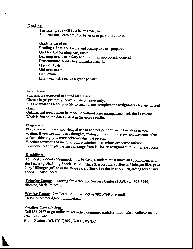#### Grading:

The final grade will be a letter grade, A-F.

Students must earn a "C" or better or to pass this course.

Grade is based on: Reading all assigned work and coming to class prepared. Quizzes and Reading Responses Learning new vocabulary and using it in appropriate context Demonstrated ability to summarize material **Mastery Tests** Mid term exam Final exam Late work will receive a grade penalty.

### Attendance:

Students are expected to attend all classes.

Classes begin promptly; don't be late or leave early.

It is the student's responsibility to find out and complete the assignments for any missed class.

Quizzes and tests cannot be made up without prior arrangement with the instructor. Work is due on the dates stated in the course outline.

#### Plagiarism:

Plagiarism is the unacknowledged use of another person's words or ideas in your writing. If you use any ideas, thoughts, writing, quotes, or even paraphrase some other writer's thinking, you must acknowledge that person.

Whether conscious or unconscious, plagiarism is a serious academic offense. Consequences for plagiarism can range from failing an assignment to failing the course.

#### Disabilities:

To receive special accommodations in class, a student must make an appointment with the Learning Disability Specialist, Mr. Chris Scarborough (office in Mohegan library) or Judy Hilburger (office in the Registrar's office). See the instructor regarding this or any special medical need.

Tutoring Center - Tutoring for Academic Success Center (TASC) all 892-5745, director, Marie Peloquin

Writing Center - Jon Brammer, 892-5773 or 892-5769 or e-mail TRWritingcenter@trcc.conimnet.edu

#### **Weather Cancellations:**

Call 886-0177 or go online to www.trcc.commnet.edulnformation also available on TV Channels 3 and 8

Radio Stations: WCTY, Q105, WIFH, WNLC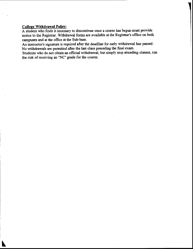#### College Withdrawal Policy:

A student who finds it necessary to discontinue once a course has begun must provide notice to the Registrar. Withdrawal forms are available at the Registrar's office on both canpuses and at the office at the Sub-base.

An instructor's signature is required after the deadline for early withdrawal has passed. No withdrawals are permitted after the last class preceding the final exam.

Students who do not obtain an official withdrawal, but simply stop attending classes, run the risk of receiving an "NC" grade for the course.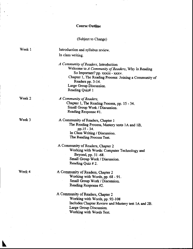#### **Course Outline**

#### (Subject to Change)

Introduction and syllabus review. In class writing. A Community of Readers, Introduction Welcome to A Community of Readers, Why Is Reading So Important? pp. xxxiii - xxxv. Chapter 1, The Reading Process: Joining a Community of Readers pp. 3-14.

Large Group Discussion. Reading Quiz# 1

Reading Response #1.

A Community of Readers, Chapter 1

A Community of Readers,

Week 2

Week 1

Week 3

The Reading Process, Mastery tests 1A and 1B, pp.15 - 34. In Class Writing / Discussion. The Reading Process Test. A Community of Readers, Chapter 2 Working with Words: Computer Technology and

Chapter 1, The Reading Process, pp. 15 - 34.

Small Group Work / Discussion.

Beyond, pp. 51 -68. Small Group Work / Discussion. Reading Quiz #2.

A Community of Readers, Chapter 2 Working with Words, pp. 68 - 91. Small Group Work / Discussion. Reading Response #2.

A Community of Readers, Chapter 2 Working with Words, pp. 92-108 Includes Chapter Review and Mastery test 1A and 2B. Large Group Discussion. Working with Words Test.

Week 4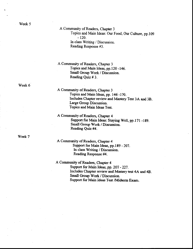A Community of Readers. Chapter 3

Topics and Main Ideas: Our Food, Our Culture, pp.109  $-120.$ 

In class Writing / Discussiou. Reading Response #3.

A Community of Readers, Chapter 3 Topics and Main ldeas, pp.l20 -146. Small Group Work / Discussion. Reading Quiz # 3.

A Community of Readers, Chapter 3 Topics and Main Ideas, pp. 146 -170. Includes Chapter review and Mastery Test 3.A and 38. Large Group Discussion. Topics and Main ldeas Test.

A Community of Readers, Chapter 4 Support for Main Ideas: Staying Well, pp. 171 - 189. Small Group Work / Discussion. Reading Quiz #4.

A Community of Readers, Chapter 4 Support for Main ldeas, pp.l89 - 207. In class Writing / Discussion. Reading Response #4.

A Community of Readers, Chapter 4 Support for Main Ideas, pp. 207 - 227. Includes Chapter review and Mastery test 4A and 4B. Small Group Work / Discussion. Support for Main Ideas Test /Midterm Exam.

Week 6

Week 7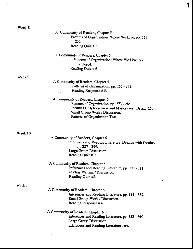Week 8

A Community of Readers, Chapter 5 Patterns of Organization: Where We Live, pp. 229 -252. Reading Quiz # 5.

A Community of Readers, Chapter 5 Patterns of Organization: Where We Live, pp. 253-264. Reading Quiz # 6.

Week 9

A Community of Readers, Chapter 5 Patterns of Organization, pp. 265 - 273. Reading Response # 5.

A Community of Readers, Chapter 5 Patterns of Organization, pp. 273 - 285. Includes Chapter review and Mastery test 5A and 5B. Small Group Work / Discussion. Patterns of Organization Test.

Week 10

A Community of Readers, Chapter 6 Inferences and Reading Literature: Dealing with Gender, pp. 287 - 299. Large Group Discussion. Reading Quiz # 7.

A Community of Readers, Chapter 6 Inferences and Reading Literature, pp. 300 - 311. In class Writing / Discussion. Reading Quiz #8.

Week 11

A Community of Readers, Chapter 6 Inferences and Reading Literature, pp. 311 - 332. Small Group Work / Discussion. Reading Response # 6.

A Community of Readers, Chapter 6 Inferences and Reading Literature, pp. 333 - 349. Large Group Discussion. Inferences and Reading Literature Test.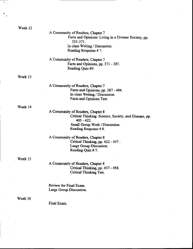Week 12

A Community of Readers. Chapter 7 Facts and Opinions: Living in a Diverse Society, pp. 351-371 . in class Writing / Discussion. Reading Response # ?-

A Community of Readers, Chapter ? Facts and Opinions, pp. 371 - 387. Reading Quiz #9.

Week 13

A Community of Readers, Chapter 7 Facts and Opinions, pp. 387 - 404. In class Writing / Discussion. Facts and Opinions Test.

Week 14

A Community of Readers, Chaprer 8 Critical Thinking: Science, Society, and Disease, pp. 405 - 422. Small Group Work / Discussion. Reading Response # 8.

A Community of Readers, Chapter 8 Criticat Thinking, pp. 422 - 437 . Large Group Discussion. Reading Quiz # 7.

Week 15

A Community of Readers, Chaprer 8 Critical Thinking, pp. 437 - 458. Critical Thinking Tes.

Review for Final Exam. Large Group Discussion.

#### Week 16

Final Exam.